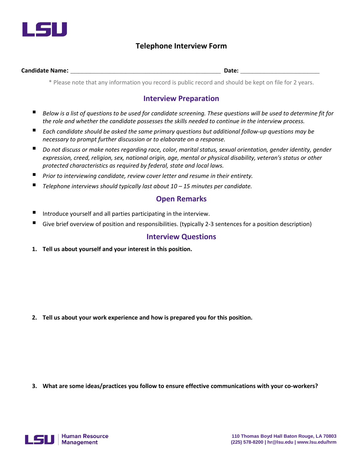

### **Telephone Interview Form**

#### **Candidate Name: \_\_\_\_\_\_\_\_\_\_\_\_\_\_\_\_\_\_\_\_\_\_\_\_\_\_\_\_\_\_\_\_\_\_\_\_\_\_ Date: \_\_\_\_\_\_\_\_\_\_\_\_\_\_\_\_\_\_\_\_**

\* Please note that any information you record is public record and should be kept on file for 2 years.

### **Interview Preparation**

- *Below is a list of questions to be used for candidate screening. These questions will be used to determine fit for the role and whether the candidate possesses the skills needed to continue in the interview process.*
- *Each candidate should be asked the same primary questions but additional follow-up questions may be necessary to prompt further discussion or to elaborate on a response.*
- *Do not discuss or make notes regarding race, color, marital status, sexual orientation, gender identity, gender expression, creed, religion, sex, national origin, age, mental or physical disability, veteran's status or other protected characteristics as required by federal, state and local laws.*
- *Prior to interviewing candidate, review cover letter and resume in their entirety.*
- *Telephone interviews should typically last about 10 – 15 minutes per candidate.*

### **Open Remarks**

- Introduce yourself and all parties participating in the interview.
- Give brief overview of position and responsibilities. (typically 2-3 sentences for a position description)

### **Interview Questions**

**1. Tell us about yourself and your interest in this position.**

**2. Tell us about your work experience and how is prepared you for this position.** 

**3. What are some ideas/practices you follow to ensure effective communications with your co-workers?**